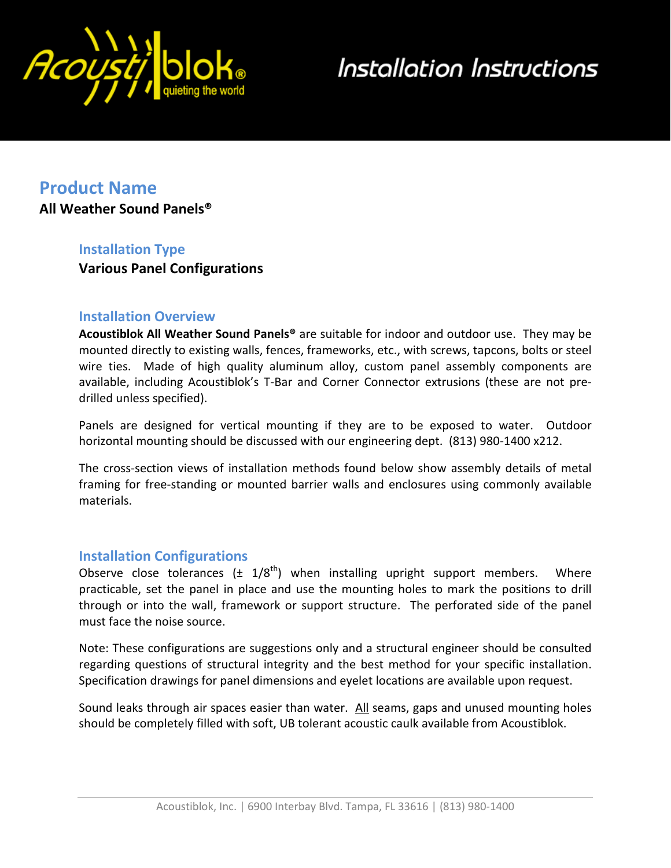

Installation Instructions

# **Product Name**

# **All Weather Sound Panels®**

# **Installation Type**

**Various Panel Configurations**

### **Installation Overview**

**Acoustiblok All Weather Sound Panels®** are suitable for indoor and outdoor use. They may be mounted directly to existing walls, fences, frameworks, etc., with screws, tapcons, bolts or steel wire ties. Made of high quality aluminum alloy, custom panel assembly components are available, including Acoustiblok's T-Bar and Corner Connector extrusions (these are not predrilled unless specified).

Panels are designed for vertical mounting if they are to be exposed to water. Outdoor horizontal mounting should be discussed with our engineering dept. (813) 980-1400 x212.

The cross-section views of installation methods found below show assembly details of metal framing for free-standing or mounted barrier walls and enclosures using commonly available materials.

### **Installation Configurations**

Observe close tolerances ( $\pm$  1/8<sup>th</sup>) when installing upright support members. Where practicable, set the panel in place and use the mounting holes to mark the positions to drill through or into the wall, framework or support structure. The perforated side of the panel must face the noise source.

Note: These configurations are suggestions only and a structural engineer should be consulted regarding questions of structural integrity and the best method for your specific installation. Specification drawings for panel dimensions and eyelet locations are available upon request.

Sound leaks through air spaces easier than water. All seams, gaps and unused mounting holes should be completely filled with soft, UB tolerant acoustic caulk available from Acoustiblok.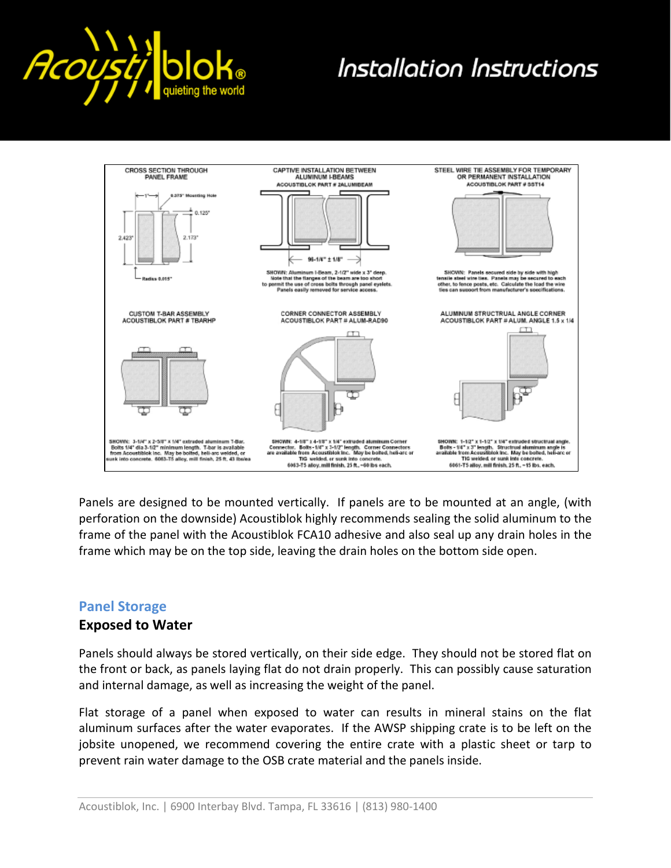

# **Installation Instructions**



Panels are designed to be mounted vertically. If panels are to be mounted at an angle, (with perforation on the downside) Acoustiblok highly recommends sealing the solid aluminum to the frame of the panel with the Acoustiblok FCA10 adhesive and also seal up any drain holes in the frame which may be on the top side, leaving the drain holes on the bottom side open.

#### **Panel Storage**

#### **Exposed to Water**

Panels should always be stored vertically, on their side edge. They should not be stored flat on the front or back, as panels laying flat do not drain properly. This can possibly cause saturation and internal damage, as well as increasing the weight of the panel.

Flat storage of a panel when exposed to water can results in mineral stains on the flat aluminum surfaces after the water evaporates. If the AWSP shipping crate is to be left on the jobsite unopened, we recommend covering the entire crate with a plastic sheet or tarp to prevent rain water damage to the OSB crate material and the panels inside.